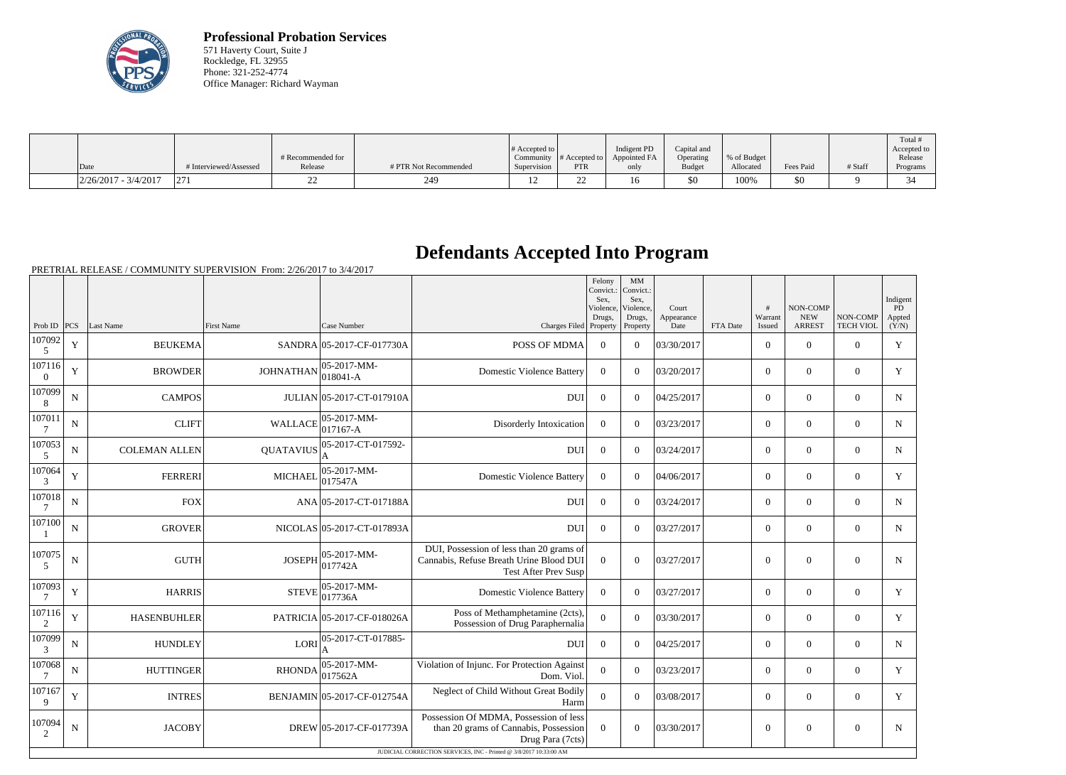

**Professional Probation Services** 571 Haverty Court, Suite J Rockledge, FL 32955 Phone: 321-252-4774 Office Manager: Richard Wayman

|                        |                                        |                   |                       |                       |                  |              |               |             |           |         | Total           |
|------------------------|----------------------------------------|-------------------|-----------------------|-----------------------|------------------|--------------|---------------|-------------|-----------|---------|-----------------|
|                        |                                        |                   |                       | $\#$ Accepted to $\ $ |                  | Indigent PD  | Capital and   |             |           |         | Accepted to     |
|                        |                                        | # Recommended for |                       | Community             | $\#$ Accepted to | Appointed FA | Operating     | % of Budget |           |         | Release         |
| Date                   | # Interviewed/Assessed                 | Release           | # PTR Not Recommended | Supervision           | <b>PTR</b>       | only         | <b>Budget</b> | Allocated   | Fees Paid | # Staff | Programs        |
| $2/26/2017 - 3/4/2017$ | $\sqrt{2}$<br>$\vert \Delta L \vert$ . |                   | 249                   |                       | ,,,,             | 16           | \$0           | 100%        | \$0       |         | $\bigcap$<br>34 |

## **Defendants Accepted Into Program**

PRETRIAL RELEASE / COMMUNITY SUPERVISION From: 2/26/2017 to 3/4/2017

| Prob ID $ PCS $<br><b>First Name</b><br>Case Number<br><b>ARREST</b><br><b>TECH VIOL</b><br>Last Name<br>Charges Filed Property<br>FTA Date<br>Property<br>Date<br>Issued<br>107092<br>$\mathbf Y$<br>POSS OF MDMA<br>03/30/2017<br>$\overline{0}$<br><b>BEUKEMA</b><br>SANDRA 05-2017-CF-017730A<br>$\overline{0}$<br>$\Omega$<br>$\boldsymbol{0}$<br>$\overline{0}$<br>5<br>107116<br>$ 05-2017-MM-$<br>$\mathbf Y$<br><b>JOHNATHAN</b><br>$\overline{0}$<br><b>BROWDER</b><br><b>Domestic Violence Battery</b><br>$\overline{0}$<br>$\Omega$<br>03/20/2017<br>$\boldsymbol{0}$<br>$\overline{0}$<br>$ 018041-A$<br>$\overline{0}$<br>107099<br>${\bf N}$<br><b>CAMPOS</b><br>JULIAN 05-2017-CT-017910A<br><b>DUI</b><br>$\theta$<br>$\Omega$<br>04/25/2017<br>$\overline{0}$<br>$\theta$<br>$\overline{0}$<br>8<br>107011<br>$\text{WALLACE}\Big  \underset{\text{O1.7}}{\text{05-2017-MM-}}$<br>$\mathbf N$<br><b>CLIFT</b><br>$\mathbf{0}$<br>$\overline{0}$<br>03/23/2017<br>$\overline{0}$<br>$\mathbf{0}$<br>$\overline{0}$<br>Disorderly Intoxication<br>7<br>107053<br>05-2017-CT-017592-<br>$\mathbf{0}$<br>$\overline{0}$<br>$\mathbf{0}$<br>$\mathbf{0}$<br>$\mathbf N$<br><b>COLEMAN ALLEN</b><br><b>QUATAVIUS</b><br><b>DUI</b><br>$\Omega$<br>03/24/2017<br>$\mathfrak{S}$<br>107064<br>05-2017-MM-<br>$\mathbf Y$<br><b>FERRERI</b><br><b>MICHAEL</b><br><b>Domestic Violence Battery</b><br>$\overline{0}$<br>$\Omega$<br>04/06/2017<br>$\overline{0}$<br>$\boldsymbol{0}$<br>$\overline{0}$<br>017547A<br>3<br>107018<br>$\mathbf N$<br><b>FOX</b><br>ANA 05-2017-CT-017188A<br>$\mathbf{0}$<br>03/24/2017<br>$\overline{0}$<br>$\mathbf{0}$<br>$\overline{0}$<br><b>DUI</b><br>$\Omega$<br>7<br>107100<br>${\bf N}$<br><b>GROVER</b><br>NICOLAS 05-2017-CT-017893A<br><b>DUI</b><br>$\theta$<br>$\Omega$<br>03/27/2017<br>$\Omega$<br>$\theta$<br>$\Omega$<br>DUI, Possession of less than 20 grams of<br>107075<br>05-2017-MM-<br>$\mathbf N$<br><b>GUTH</b><br><b>JOSEPH</b><br>Cannabis, Refuse Breath Urine Blood DUI<br>$\overline{0}$<br>$\mathbf{0}$<br>$\overline{0}$<br>$\theta$<br>03/27/2017<br>$\Omega$<br> 017742A<br>5<br><b>Test After Prev Susp</b><br>107093<br>$ 05-2017-MM-$<br>Y<br><b>HARRIS</b><br><b>STEVE</b><br>$\overline{0}$<br>$\overline{0}$<br>$\mathbf{0}$<br>$\overline{0}$<br><b>Domestic Violence Battery</b><br>$\Omega$<br>03/27/2017<br>017736A<br>7<br>107116<br>Poss of Methamphetamine (2cts),<br>$\mathbf Y$<br>$\overline{0}$<br>PATRICIA 05-2017-CF-018026A<br><b>HASENBUHLER</b><br>$\Omega$<br>03/30/2017<br>$\overline{0}$<br>$\boldsymbol{0}$<br>$\overline{0}$<br>$\overline{2}$<br>Possession of Drug Paraphernalia<br>107099<br>$LORI$ <sup>05-2017-CT-017885-</sup><br>$\mathbf N$<br><b>HUNDLEY</b><br>$\boldsymbol{0}$<br>$\Omega$<br>04/25/2017<br>$\overline{0}$<br>$\boldsymbol{0}$<br><b>DUI</b><br>$\overline{0}$<br>3<br>A<br>107068<br>$ 05 - 2017 - MM -$<br>Violation of Injunc. For Protection Against<br><b>HUTTINGER</b><br><b>RHONDA</b><br>$\Omega$<br>$\Omega$<br>$\overline{0}$<br>$\mathbf{0}$<br>N<br>03/23/2017<br>$\Omega$<br>017562A<br>7<br>Dom. Viol.<br>107167<br>Neglect of Child Without Great Bodily<br>Y<br><b>INTRES</b><br>BENJAMIN 05-2017-CF-012754A<br>$\overline{0}$<br>$\overline{0}$<br>$\Omega$<br>03/08/2017<br>$\overline{0}$<br>$\overline{0}$<br>9<br>Harm<br>Possession Of MDMA, Possession of less<br>107094<br><b>JACOBY</b><br>DREW 05-2017-CF-017739A<br>$\overline{0}$<br>03/30/2017<br>$\overline{0}$<br>$\mathbf{0}$<br>$\mathbf{0}$<br>$\mathbf N$<br>than 20 grams of Cannabis, Possession<br>$\theta$<br>2<br>Drug Para (7cts) |  |  |  | Felony<br>Convict.:<br>Sex.<br>Violence,<br>Drugs. | MM<br>Convict.:<br>Sex.<br>Violence,<br>Drugs, | Court<br>Appearance | #<br>Warrant | <b>NON-COMP</b><br><b>NEW</b> | NON-COMP | Indigent<br>PD<br>Appted |
|-------------------------------------------------------------------------------------------------------------------------------------------------------------------------------------------------------------------------------------------------------------------------------------------------------------------------------------------------------------------------------------------------------------------------------------------------------------------------------------------------------------------------------------------------------------------------------------------------------------------------------------------------------------------------------------------------------------------------------------------------------------------------------------------------------------------------------------------------------------------------------------------------------------------------------------------------------------------------------------------------------------------------------------------------------------------------------------------------------------------------------------------------------------------------------------------------------------------------------------------------------------------------------------------------------------------------------------------------------------------------------------------------------------------------------------------------------------------------------------------------------------------------------------------------------------------------------------------------------------------------------------------------------------------------------------------------------------------------------------------------------------------------------------------------------------------------------------------------------------------------------------------------------------------------------------------------------------------------------------------------------------------------------------------------------------------------------------------------------------------------------------------------------------------------------------------------------------------------------------------------------------------------------------------------------------------------------------------------------------------------------------------------------------------------------------------------------------------------------------------------------------------------------------------------------------------------------------------------------------------------------------------------------------------------------------------------------------------------------------------------------------------------------------------------------------------------------------------------------------------------------------------------------------------------------------------------------------------------------------------------------------------------------------------------------------------------------------------------------------------------------------------------------------------------------------------------------------------------------------------------------------------------------------------------------------------------------------------------------------------------------------------------------------------------------------------------------------------------------------------------------------------------------------------------------------------------------------------------------------------------------------------------------------|--|--|--|----------------------------------------------------|------------------------------------------------|---------------------|--------------|-------------------------------|----------|--------------------------|
|                                                                                                                                                                                                                                                                                                                                                                                                                                                                                                                                                                                                                                                                                                                                                                                                                                                                                                                                                                                                                                                                                                                                                                                                                                                                                                                                                                                                                                                                                                                                                                                                                                                                                                                                                                                                                                                                                                                                                                                                                                                                                                                                                                                                                                                                                                                                                                                                                                                                                                                                                                                                                                                                                                                                                                                                                                                                                                                                                                                                                                                                                                                                                                                                                                                                                                                                                                                                                                                                                                                                                                                                                                                             |  |  |  |                                                    |                                                |                     |              |                               |          | (Y/N)                    |
|                                                                                                                                                                                                                                                                                                                                                                                                                                                                                                                                                                                                                                                                                                                                                                                                                                                                                                                                                                                                                                                                                                                                                                                                                                                                                                                                                                                                                                                                                                                                                                                                                                                                                                                                                                                                                                                                                                                                                                                                                                                                                                                                                                                                                                                                                                                                                                                                                                                                                                                                                                                                                                                                                                                                                                                                                                                                                                                                                                                                                                                                                                                                                                                                                                                                                                                                                                                                                                                                                                                                                                                                                                                             |  |  |  |                                                    |                                                |                     |              |                               |          | Y                        |
|                                                                                                                                                                                                                                                                                                                                                                                                                                                                                                                                                                                                                                                                                                                                                                                                                                                                                                                                                                                                                                                                                                                                                                                                                                                                                                                                                                                                                                                                                                                                                                                                                                                                                                                                                                                                                                                                                                                                                                                                                                                                                                                                                                                                                                                                                                                                                                                                                                                                                                                                                                                                                                                                                                                                                                                                                                                                                                                                                                                                                                                                                                                                                                                                                                                                                                                                                                                                                                                                                                                                                                                                                                                             |  |  |  |                                                    |                                                |                     |              |                               |          | Y                        |
|                                                                                                                                                                                                                                                                                                                                                                                                                                                                                                                                                                                                                                                                                                                                                                                                                                                                                                                                                                                                                                                                                                                                                                                                                                                                                                                                                                                                                                                                                                                                                                                                                                                                                                                                                                                                                                                                                                                                                                                                                                                                                                                                                                                                                                                                                                                                                                                                                                                                                                                                                                                                                                                                                                                                                                                                                                                                                                                                                                                                                                                                                                                                                                                                                                                                                                                                                                                                                                                                                                                                                                                                                                                             |  |  |  |                                                    |                                                |                     |              |                               |          | $\mathbf N$              |
|                                                                                                                                                                                                                                                                                                                                                                                                                                                                                                                                                                                                                                                                                                                                                                                                                                                                                                                                                                                                                                                                                                                                                                                                                                                                                                                                                                                                                                                                                                                                                                                                                                                                                                                                                                                                                                                                                                                                                                                                                                                                                                                                                                                                                                                                                                                                                                                                                                                                                                                                                                                                                                                                                                                                                                                                                                                                                                                                                                                                                                                                                                                                                                                                                                                                                                                                                                                                                                                                                                                                                                                                                                                             |  |  |  |                                                    |                                                |                     |              |                               |          | $\mathbf N$              |
|                                                                                                                                                                                                                                                                                                                                                                                                                                                                                                                                                                                                                                                                                                                                                                                                                                                                                                                                                                                                                                                                                                                                                                                                                                                                                                                                                                                                                                                                                                                                                                                                                                                                                                                                                                                                                                                                                                                                                                                                                                                                                                                                                                                                                                                                                                                                                                                                                                                                                                                                                                                                                                                                                                                                                                                                                                                                                                                                                                                                                                                                                                                                                                                                                                                                                                                                                                                                                                                                                                                                                                                                                                                             |  |  |  |                                                    |                                                |                     |              |                               |          | $\mathbf N$              |
|                                                                                                                                                                                                                                                                                                                                                                                                                                                                                                                                                                                                                                                                                                                                                                                                                                                                                                                                                                                                                                                                                                                                                                                                                                                                                                                                                                                                                                                                                                                                                                                                                                                                                                                                                                                                                                                                                                                                                                                                                                                                                                                                                                                                                                                                                                                                                                                                                                                                                                                                                                                                                                                                                                                                                                                                                                                                                                                                                                                                                                                                                                                                                                                                                                                                                                                                                                                                                                                                                                                                                                                                                                                             |  |  |  |                                                    |                                                |                     |              |                               |          | Y                        |
|                                                                                                                                                                                                                                                                                                                                                                                                                                                                                                                                                                                                                                                                                                                                                                                                                                                                                                                                                                                                                                                                                                                                                                                                                                                                                                                                                                                                                                                                                                                                                                                                                                                                                                                                                                                                                                                                                                                                                                                                                                                                                                                                                                                                                                                                                                                                                                                                                                                                                                                                                                                                                                                                                                                                                                                                                                                                                                                                                                                                                                                                                                                                                                                                                                                                                                                                                                                                                                                                                                                                                                                                                                                             |  |  |  |                                                    |                                                |                     |              |                               |          | $\mathbf N$              |
|                                                                                                                                                                                                                                                                                                                                                                                                                                                                                                                                                                                                                                                                                                                                                                                                                                                                                                                                                                                                                                                                                                                                                                                                                                                                                                                                                                                                                                                                                                                                                                                                                                                                                                                                                                                                                                                                                                                                                                                                                                                                                                                                                                                                                                                                                                                                                                                                                                                                                                                                                                                                                                                                                                                                                                                                                                                                                                                                                                                                                                                                                                                                                                                                                                                                                                                                                                                                                                                                                                                                                                                                                                                             |  |  |  |                                                    |                                                |                     |              |                               |          | $\mathbf N$              |
|                                                                                                                                                                                                                                                                                                                                                                                                                                                                                                                                                                                                                                                                                                                                                                                                                                                                                                                                                                                                                                                                                                                                                                                                                                                                                                                                                                                                                                                                                                                                                                                                                                                                                                                                                                                                                                                                                                                                                                                                                                                                                                                                                                                                                                                                                                                                                                                                                                                                                                                                                                                                                                                                                                                                                                                                                                                                                                                                                                                                                                                                                                                                                                                                                                                                                                                                                                                                                                                                                                                                                                                                                                                             |  |  |  |                                                    |                                                |                     |              |                               |          | $\mathbf N$              |
|                                                                                                                                                                                                                                                                                                                                                                                                                                                                                                                                                                                                                                                                                                                                                                                                                                                                                                                                                                                                                                                                                                                                                                                                                                                                                                                                                                                                                                                                                                                                                                                                                                                                                                                                                                                                                                                                                                                                                                                                                                                                                                                                                                                                                                                                                                                                                                                                                                                                                                                                                                                                                                                                                                                                                                                                                                                                                                                                                                                                                                                                                                                                                                                                                                                                                                                                                                                                                                                                                                                                                                                                                                                             |  |  |  |                                                    |                                                |                     |              |                               |          | Y                        |
|                                                                                                                                                                                                                                                                                                                                                                                                                                                                                                                                                                                                                                                                                                                                                                                                                                                                                                                                                                                                                                                                                                                                                                                                                                                                                                                                                                                                                                                                                                                                                                                                                                                                                                                                                                                                                                                                                                                                                                                                                                                                                                                                                                                                                                                                                                                                                                                                                                                                                                                                                                                                                                                                                                                                                                                                                                                                                                                                                                                                                                                                                                                                                                                                                                                                                                                                                                                                                                                                                                                                                                                                                                                             |  |  |  |                                                    |                                                |                     |              |                               |          | Y                        |
|                                                                                                                                                                                                                                                                                                                                                                                                                                                                                                                                                                                                                                                                                                                                                                                                                                                                                                                                                                                                                                                                                                                                                                                                                                                                                                                                                                                                                                                                                                                                                                                                                                                                                                                                                                                                                                                                                                                                                                                                                                                                                                                                                                                                                                                                                                                                                                                                                                                                                                                                                                                                                                                                                                                                                                                                                                                                                                                                                                                                                                                                                                                                                                                                                                                                                                                                                                                                                                                                                                                                                                                                                                                             |  |  |  |                                                    |                                                |                     |              |                               |          | N                        |
|                                                                                                                                                                                                                                                                                                                                                                                                                                                                                                                                                                                                                                                                                                                                                                                                                                                                                                                                                                                                                                                                                                                                                                                                                                                                                                                                                                                                                                                                                                                                                                                                                                                                                                                                                                                                                                                                                                                                                                                                                                                                                                                                                                                                                                                                                                                                                                                                                                                                                                                                                                                                                                                                                                                                                                                                                                                                                                                                                                                                                                                                                                                                                                                                                                                                                                                                                                                                                                                                                                                                                                                                                                                             |  |  |  |                                                    |                                                |                     |              |                               |          | Y                        |
|                                                                                                                                                                                                                                                                                                                                                                                                                                                                                                                                                                                                                                                                                                                                                                                                                                                                                                                                                                                                                                                                                                                                                                                                                                                                                                                                                                                                                                                                                                                                                                                                                                                                                                                                                                                                                                                                                                                                                                                                                                                                                                                                                                                                                                                                                                                                                                                                                                                                                                                                                                                                                                                                                                                                                                                                                                                                                                                                                                                                                                                                                                                                                                                                                                                                                                                                                                                                                                                                                                                                                                                                                                                             |  |  |  |                                                    |                                                |                     |              |                               |          | Y                        |
| JUDICIAL CORRECTION SERVICES, INC - Printed @ 3/8/2017 10:33:00 AM                                                                                                                                                                                                                                                                                                                                                                                                                                                                                                                                                                                                                                                                                                                                                                                                                                                                                                                                                                                                                                                                                                                                                                                                                                                                                                                                                                                                                                                                                                                                                                                                                                                                                                                                                                                                                                                                                                                                                                                                                                                                                                                                                                                                                                                                                                                                                                                                                                                                                                                                                                                                                                                                                                                                                                                                                                                                                                                                                                                                                                                                                                                                                                                                                                                                                                                                                                                                                                                                                                                                                                                          |  |  |  |                                                    |                                                |                     |              |                               |          | N                        |